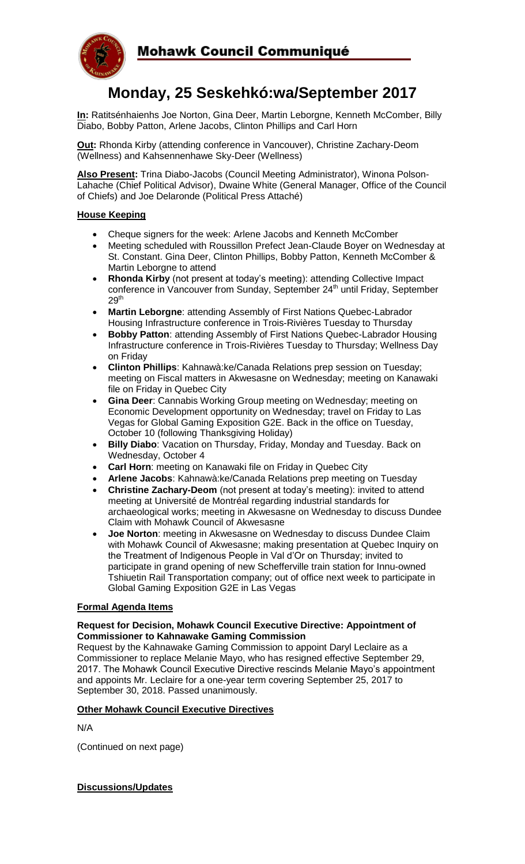

# **Monday, 25 Seskehkó:wa/September 2017**

**In:** Ratitsénhaienhs Joe Norton, Gina Deer, Martin Leborgne, Kenneth McComber, Billy Diabo, Bobby Patton, Arlene Jacobs, Clinton Phillips and Carl Horn

**Out:** Rhonda Kirby (attending conference in Vancouver), Christine Zachary-Deom (Wellness) and Kahsennenhawe Sky-Deer (Wellness)

**Also Present:** Trina Diabo-Jacobs (Council Meeting Administrator), Winona Polson-Lahache (Chief Political Advisor), Dwaine White (General Manager, Office of the Council of Chiefs) and Joe Delaronde (Political Press Attaché)

#### **House Keeping**

- Cheque signers for the week: Arlene Jacobs and Kenneth McComber
- Meeting scheduled with Roussillon Prefect Jean-Claude Boyer on Wednesday at St. Constant. Gina Deer, Clinton Phillips, Bobby Patton, Kenneth McComber & Martin Leborgne to attend
- **Rhonda Kirby** (not present at today's meeting): attending Collective Impact conference in Vancouver from Sunday, September 24<sup>th</sup> until Friday, September  $29<sup>th</sup>$
- **Martin Leborgne**: attending Assembly of First Nations Quebec-Labrador Housing Infrastructure conference in Trois-Rivières Tuesday to Thursday
- **Bobby Patton**: attending Assembly of First Nations Quebec-Labrador Housing Infrastructure conference in Trois-Rivières Tuesday to Thursday; Wellness Day on Friday
- **Clinton Phillips**: Kahnawà:ke/Canada Relations prep session on Tuesday; meeting on Fiscal matters in Akwesasne on Wednesday; meeting on Kanawaki file on Friday in Quebec City
- **Gina Deer**: Cannabis Working Group meeting on Wednesday; meeting on Economic Development opportunity on Wednesday; travel on Friday to Las Vegas for Global Gaming Exposition G2E. Back in the office on Tuesday, October 10 (following Thanksgiving Holiday)
- **Billy Diabo**: Vacation on Thursday, Friday, Monday and Tuesday. Back on Wednesday, October 4
- **Carl Horn**: meeting on Kanawaki file on Friday in Quebec City
- **Arlene Jacobs**: Kahnawà:ke/Canada Relations prep meeting on Tuesday
- **Christine Zachary-Deom** (not present at today's meeting): invited to attend meeting at Université de Montréal regarding industrial standards for archaeological works; meeting in Akwesasne on Wednesday to discuss Dundee Claim with Mohawk Council of Akwesasne
- **Joe Norton**: meeting in Akwesasne on Wednesday to discuss Dundee Claim with Mohawk Council of Akwesasne; making presentation at Quebec Inquiry on the Treatment of Indigenous People in Val d'Or on Thursday; invited to participate in grand opening of new Schefferville train station for Innu-owned Tshiuetin Rail Transportation company; out of office next week to participate in Global Gaming Exposition G2E in Las Vegas

#### **Formal Agenda Items**

#### **Request for Decision, Mohawk Council Executive Directive: Appointment of Commissioner to Kahnawake Gaming Commission**

Request by the Kahnawake Gaming Commission to appoint Daryl Leclaire as a Commissioner to replace Melanie Mayo, who has resigned effective September 29, 2017. The Mohawk Council Executive Directive rescinds Melanie Mayo's appointment and appoints Mr. Leclaire for a one-year term covering September 25, 2017 to September 30, 2018. Passed unanimously.

#### **Other Mohawk Council Executive Directives**

N/A

(Continued on next page)

### **Discussions/Updates**